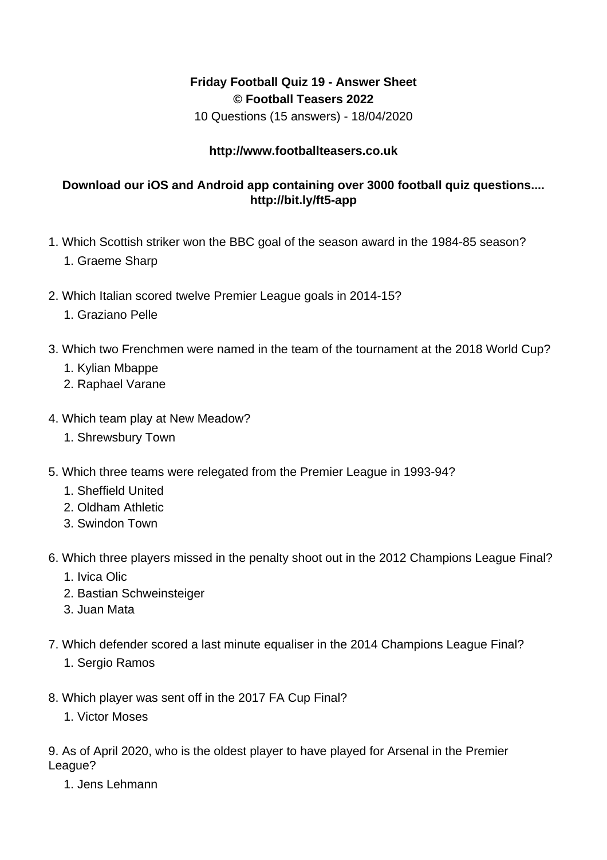## **Friday Football Quiz 19 - Answer Sheet © Football Teasers 2022**

10 Questions (15 answers) - 18/04/2020

## **http://www.footballteasers.co.uk**

## **Download our iOS and Android app containing over 3000 football quiz questions.... http://bit.ly/ft5-app**

- 1. Which Scottish striker won the BBC goal of the season award in the 1984-85 season?
	- 1. Graeme Sharp
- 2. Which Italian scored twelve Premier League goals in 2014-15?
	- 1. Graziano Pelle
- 3. Which two Frenchmen were named in the team of the tournament at the 2018 World Cup?
	- 1. Kylian Mbappe
	- 2. Raphael Varane
- 4. Which team play at New Meadow?
	- 1. Shrewsbury Town
- 5. Which three teams were relegated from the Premier League in 1993-94?
	- 1. Sheffield United
	- 2. Oldham Athletic
	- 3. Swindon Town
- 6. Which three players missed in the penalty shoot out in the 2012 Champions League Final?
	- 1. Ivica Olic
	- 2. Bastian Schweinsteiger
	- 3. Juan Mata
- 7. Which defender scored a last minute equaliser in the 2014 Champions League Final?
	- 1. Sergio Ramos
- 8. Which player was sent off in the 2017 FA Cup Final?
	- 1. Victor Moses

9. As of April 2020, who is the oldest player to have played for Arsenal in the Premier League?

1. Jens Lehmann